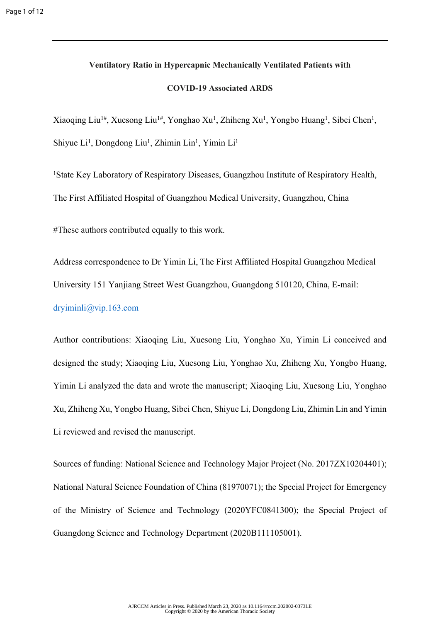# **Ventilatory Ratio in Hypercapnic Mechanically Ventilated Patients with**

# **COVID-19 Associated ARDS**

Xiaoqing Liu<sup>1#</sup>, Xuesong Liu<sup>1#</sup>, Yonghao Xu<sup>1</sup>, Zhiheng Xu<sup>1</sup>, Yongbo Huang<sup>1</sup>, Sibei Chen<sup>1</sup>, Shiyue  $Li<sup>1</sup>$ , Dongdong Liu<sup>1</sup>, Zhimin Lin<sup>1</sup>, Yimin Li<sup>1</sup>

<sup>1</sup>State Key Laboratory of Respiratory Diseases, Guangzhou Institute of Respiratory Health, The First Affiliated Hospital of Guangzhou Medical University, Guangzhou, China

#These authors contributed equally to this work.

Address correspondence to Dr Yimin Li, The First Affiliated Hospital Guangzhou Medical University 151 Yanjiang Street West Guangzhou, Guangdong 510120, China, E-mail: [dryiminli@vip.163.com](mailto:dryiminli@vip.163.com)

Author contributions: Xiaoqing Liu, Xuesong Liu, Yonghao Xu, Yimin Li conceived and designed the study; Xiaoqing Liu, Xuesong Liu, Yonghao Xu, Zhiheng Xu, Yongbo Huang, Yimin Li analyzed the data and wrote the manuscript; Xiaoqing Liu, Xuesong Liu, Yonghao Xu, Zhiheng Xu, Yongbo Huang, Sibei Chen, Shiyue Li, Dongdong Liu, Zhimin Lin and Yimin Li reviewed and revised the manuscript.

Sources of funding: National Science and Technology Major Project (No. 2017ZX10204401); National Natural Science Foundation of China (81970071); the Special Project for Emergency of the Ministry of Science and Technology (2020YFC0841300); the Special Project of Guangdong Science and Technology Department (2020B111105001).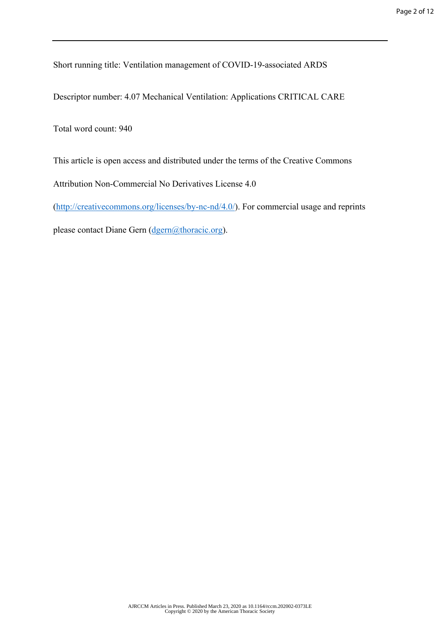Short running title: Ventilation management of COVID-19-associated ARDS

Descriptor number: 4.07 Mechanical Ventilation: Applications CRITICAL CARE

Total word count: 940

This article is open access and distributed under the terms of the Creative Commons

Attribution Non-Commercial No Derivatives License 4.0

([http://creativecommons.org/licenses/by-nc-nd/4.0/\)](http://creativecommons.org/licenses/by-nc-nd/4.0/). For commercial usage and reprints

please contact Diane Gern [\(dgern@thoracic.org](mailto:dgern@thoracic.org)).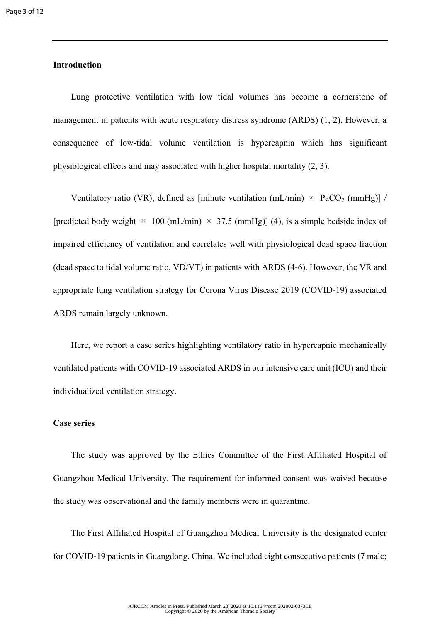# **Introduction**

Lung protective ventilation with low tidal volumes has become a cornerstone of management in patients with acute respiratory distress syndrome (ARDS) [\(1](#page-6-0), [2\)](#page-6-1). However, a consequence of low-tidal volume ventilation is hypercapnia which has significant physiological effects and may associated with higher hospital mortality ([2,](#page-6-1) [3\)](#page-6-2).

Ventilatory ratio (VR), defined as [minute ventilation (mL/min)  $\times$  PaCO<sub>2</sub> (mmHg)] / [predicted body weight  $\times$  100 (mL/min)  $\times$  37.5 (mmHg)] ([4\)](#page-6-3), is a simple bedside index of impaired efficiency of ventilation and correlates well with physiological dead space fraction (dead space to tidal volume ratio, VD/VT) in patients with ARDS [\(4-6](#page-6-3)). However, the VR and appropriate lung ventilation strategy for Corona Virus Disease 2019 (COVID-19) associated ARDS remain largely unknown.

Here, we report a case series highlighting ventilatory ratio in hypercapnic mechanically ventilated patients with COVID-19 associated ARDS in our intensive care unit (ICU) and their individualized ventilation strategy.

## **Case series**

The study was approved by the Ethics Committee of the First Affiliated Hospital of Guangzhou Medical University. The requirement for informed consent was waived because the study was observational and the family members were in quarantine.

The First Affiliated Hospital of Guangzhou Medical University is the designated center for COVID-19 patients in Guangdong, China. We included eight consecutive patients (7 male;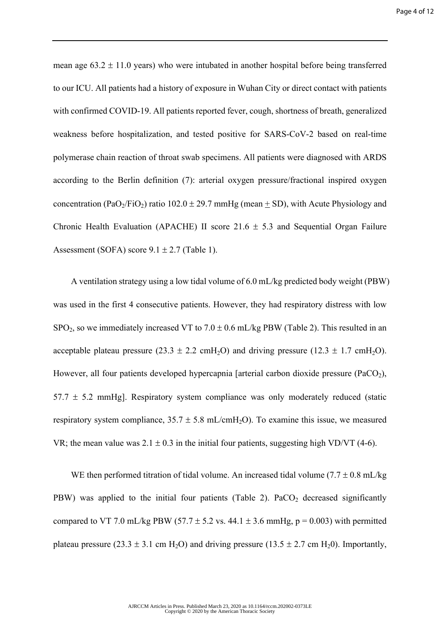mean age  $63.2 \pm 11.0$  years) who were intubated in another hospital before being transferred to our ICU. All patients had a history of exposure in Wuhan City or direct contact with patients with confirmed COVID-19. All patients reported fever, cough, shortness of breath, generalized weakness before hospitalization, and tested positive for SARS-CoV-2 based on real-time polymerase chain reaction of throat swab specimens. All patients were diagnosed with ARDS according to the Berlin definition ([7\)](#page-7-0): arterial oxygen pressure/fractional inspired oxygen concentration (PaO<sub>2</sub>/FiO<sub>2</sub>) ratio 102.0  $\pm$  29.7 mmHg (mean + SD), with Acute Physiology and Chronic Health Evaluation (APACHE) II score  $21.6 \pm 5.3$  and Sequential Organ Failure Assessment (SOFA) score  $9.1 \pm 2.7$  (Table 1).

A ventilation strategy using a low tidal volume of 6.0 mL/kg predicted body weight (PBW) was used in the first 4 consecutive patients. However, they had respiratory distress with low SPO<sub>2</sub>, so we immediately increased VT to  $7.0 \pm 0.6$  mL/kg PBW (Table 2). This resulted in an acceptable plateau pressure (23.3  $\pm$  2.2 cmH<sub>2</sub>O) and driving pressure (12.3  $\pm$  1.7 cmH<sub>2</sub>O). However, all four patients developed hypercapnia [arterial carbon dioxide pressure  $(PaCO<sub>2</sub>)$ ,  $57.7 \pm 5.2$  mmHg]. Respiratory system compliance was only moderately reduced (static respiratory system compliance,  $35.7 \pm 5.8$  mL/cmH<sub>2</sub>O). To examine this issue, we measured VR; the mean value was  $2.1 \pm 0.3$  in the initial four patients, suggesting high VD/VT ([4-6\)](#page-6-3).

WE then performed titration of tidal volume. An increased tidal volume (7.7  $\pm$  0.8 mL/kg PBW) was applied to the initial four patients (Table 2).  $PaCO<sub>2</sub>$  decreased significantly compared to VT 7.0 mL/kg PBW (57.7  $\pm$  5.2 vs. 44.1  $\pm$  3.6 mmHg, p = 0.003) with permitted plateau pressure (23.3  $\pm$  3.1 cm H<sub>2</sub>O) and driving pressure (13.5  $\pm$  2.7 cm H<sub>2</sub>O). Importantly,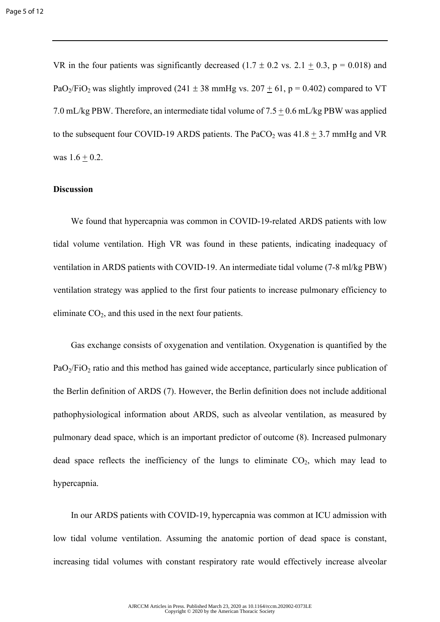VR in the four patients was significantly decreased  $(1.7 \pm 0.2 \text{ vs. } 2.1 + 0.3, \text{ p} = 0.018)$  and PaO<sub>2</sub>/FiO<sub>2</sub> was slightly improved (241  $\pm$  38 mmHg vs. 207  $\pm$  61, p = 0.402) compared to VT 7.0 mL/kg PBW. Therefore, an intermediate tidal volume of 7.5 + 0.6 mL/kg PBW was applied to the subsequent four COVID-19 ARDS patients. The PaCO<sub>2</sub> was  $41.8 \pm 3.7$  mmHg and VR was  $1.6 + 0.2$ .

### **Discussion**

We found that hypercapnia was common in COVID-19-related ARDS patients with low tidal volume ventilation. High VR was found in these patients, indicating inadequacy of ventilation in ARDS patients with COVID-19. An intermediate tidal volume (7-8 ml/kg PBW) ventilation strategy was applied to the first four patients to increase pulmonary efficiency to eliminate  $CO<sub>2</sub>$ , and this used in the next four patients.

Gas exchange consists of oxygenation and ventilation. Oxygenation is quantified by the  $PaO<sub>2</sub>/FiO<sub>2</sub>$  ratio and this method has gained wide acceptance, particularly since publication of the Berlin definition of ARDS [\(7](#page-7-0)). However, the Berlin definition does not include additional pathophysiological information about ARDS, such as alveolar ventilation, as measured by pulmonary dead space, which is an important predictor of outcome [\(8](#page-7-1)). Increased pulmonary dead space reflects the inefficiency of the lungs to eliminate  $CO<sub>2</sub>$ , which may lead to hypercapnia.

In our ARDS patients with COVID-19, hypercapnia was common at ICU admission with low tidal volume ventilation. Assuming the anatomic portion of dead space is constant, increasing tidal volumes with constant respiratory rate would effectively increase alveolar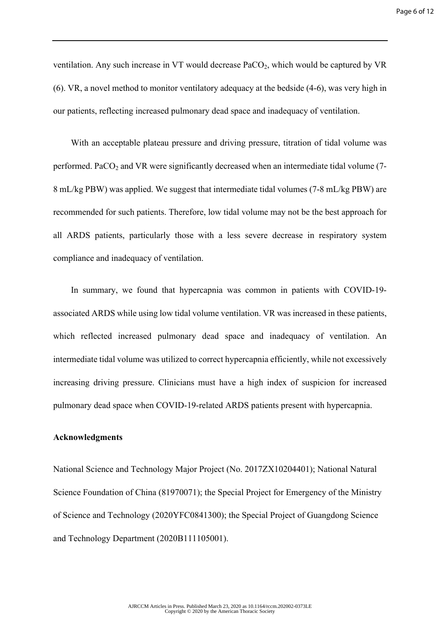ventilation. Any such increase in VT would decrease  $PaCO<sub>2</sub>$ , which would be captured by VR ([6\)](#page-6-4). VR, a novel method to monitor ventilatory adequacy at the bedside ([4-6\)](#page-6-3), was very high in our patients, reflecting increased pulmonary dead space and inadequacy of ventilation.

With an acceptable plateau pressure and driving pressure, titration of tidal volume was performed. PaCO<sub>2</sub> and VR were significantly decreased when an intermediate tidal volume  $(7-$ 8 mL/kg PBW) was applied. We suggest that intermediate tidal volumes (7-8 mL/kg PBW) are recommended for such patients. Therefore, low tidal volume may not be the best approach for all ARDS patients, particularly those with a less severe decrease in respiratory system compliance and inadequacy of ventilation.

 In summary, we found that hypercapnia was common in patients with COVID-19 associated ARDS while using low tidal volume ventilation. VR was increased in these patients, which reflected increased pulmonary dead space and inadequacy of ventilation. An intermediate tidal volume was utilized to correct hypercapnia efficiently, while not excessively increasing driving pressure. Clinicians must have a high index of suspicion for increased pulmonary dead space when COVID-19-related ARDS patients present with hypercapnia.

#### **Acknowledgments**

National Science and Technology Major Project (No. 2017ZX10204401); National Natural Science Foundation of China (81970071); the Special Project for Emergency of the Ministry of Science and Technology (2020YFC0841300); the Special Project of Guangdong Science and Technology Department (2020B111105001).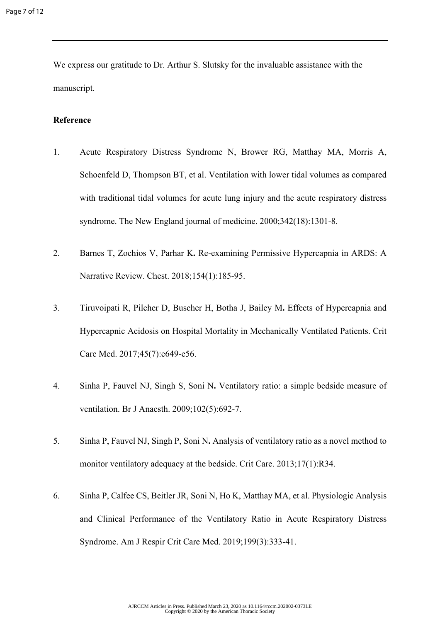We express our gratitude to Dr. Arthur S. Slutsky for the invaluable assistance with the manuscript.

# **Reference**

- <span id="page-6-0"></span>1. Acute Respiratory Distress Syndrome N, Brower RG, Matthay MA, Morris A, Schoenfeld D, Thompson BT, et al. Ventilation with lower tidal volumes as compared with traditional tidal volumes for acute lung injury and the acute respiratory distress syndrome. The New England journal of medicine. 2000;342(18):1301-8.
- <span id="page-6-1"></span>2. Barnes T, Zochios V, Parhar K**.** Re-examining Permissive Hypercapnia in ARDS: A Narrative Review. Chest. 2018;154(1):185-95.
- <span id="page-6-2"></span>3. Tiruvoipati R, Pilcher D, Buscher H, Botha J, Bailey M**.** Effects of Hypercapnia and Hypercapnic Acidosis on Hospital Mortality in Mechanically Ventilated Patients. Crit Care Med. 2017;45(7):e649-e56.
- <span id="page-6-3"></span>4. Sinha P, Fauvel NJ, Singh S, Soni N**.** Ventilatory ratio: a simple bedside measure of ventilation. Br J Anaesth. 2009;102(5):692-7.
- 5. Sinha P, Fauvel NJ, Singh P, Soni N**.** Analysis of ventilatory ratio as a novel method to monitor ventilatory adequacy at the bedside. Crit Care. 2013;17(1):R34.
- <span id="page-6-4"></span>6. Sinha P, Calfee CS, Beitler JR, Soni N, Ho K, Matthay MA, et al. Physiologic Analysis and Clinical Performance of the Ventilatory Ratio in Acute Respiratory Distress Syndrome. Am J Respir Crit Care Med. 2019;199(3):333-41.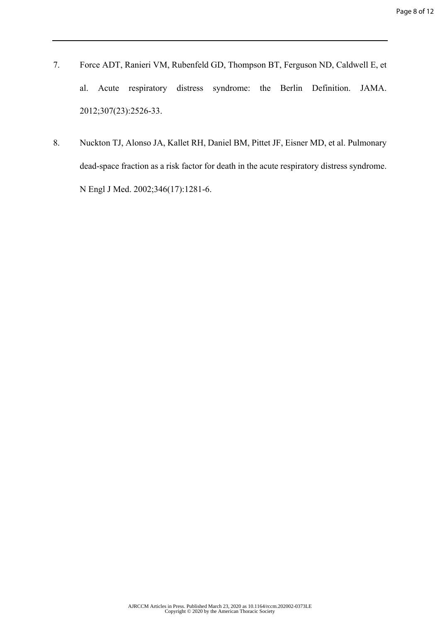- <span id="page-7-0"></span>7. Force ADT, Ranieri VM, Rubenfeld GD, Thompson BT, Ferguson ND, Caldwell E, et al. Acute respiratory distress syndrome: the Berlin Definition. JAMA. 2012;307(23):2526-33.
- <span id="page-7-1"></span>8. Nuckton TJ, Alonso JA, Kallet RH, Daniel BM, Pittet JF, Eisner MD, et al. Pulmonary dead-space fraction as a risk factor for death in the acute respiratory distress syndrome. N Engl J Med. 2002;346(17):1281-6.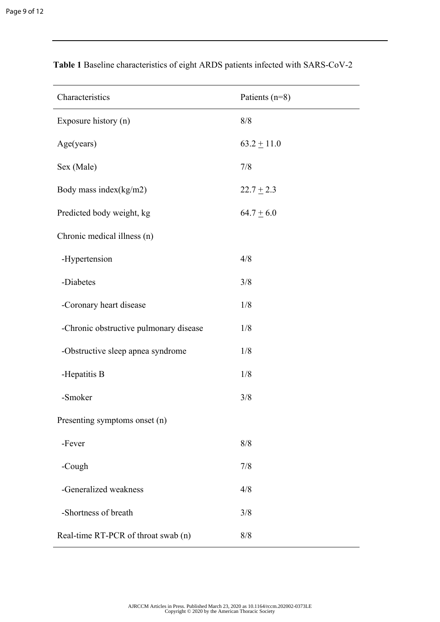| Characteristics                        | Patients (n=8)  |  |  |  |  |
|----------------------------------------|-----------------|--|--|--|--|
| Exposure history (n)                   | 8/8             |  |  |  |  |
| Age(years)                             | $63.2 \pm 11.0$ |  |  |  |  |
| Sex (Male)                             | 7/8             |  |  |  |  |
| Body mass index(kg/m2)                 | $22.7 \pm 2.3$  |  |  |  |  |
| Predicted body weight, kg              | $64.7 \pm 6.0$  |  |  |  |  |
| Chronic medical illness (n)            |                 |  |  |  |  |
| -Hypertension                          | 4/8             |  |  |  |  |
| -Diabetes                              | 3/8             |  |  |  |  |
| -Coronary heart disease                | 1/8             |  |  |  |  |
| -Chronic obstructive pulmonary disease | 1/8             |  |  |  |  |
| -Obstructive sleep apnea syndrome      | 1/8             |  |  |  |  |
| -Hepatitis B                           | 1/8             |  |  |  |  |
| -Smoker                                | 3/8             |  |  |  |  |
| Presenting symptoms onset (n)          |                 |  |  |  |  |
| -Fever                                 | 8/8             |  |  |  |  |
| -Cough                                 | 7/8             |  |  |  |  |
| -Generalized weakness                  | 4/8             |  |  |  |  |
| -Shortness of breath                   | 3/8             |  |  |  |  |
| Real-time RT-PCR of throat swab (n)    | 8/8             |  |  |  |  |

**Table 1** Baseline characteristics of eight ARDS patients infected with SARS-CoV-2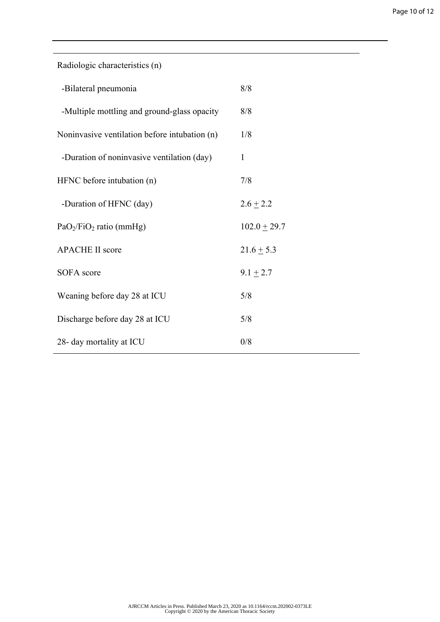| Radiologic characteristics (n)                |                  |
|-----------------------------------------------|------------------|
| -Bilateral pneumonia                          | 8/8              |
| -Multiple mottling and ground-glass opacity   | 8/8              |
| Noninvasive ventilation before intubation (n) | 1/8              |
| -Duration of noninvasive ventilation (day)    | $\mathbf{1}$     |
| HFNC before intubation (n)                    | 7/8              |
| -Duration of HFNC (day)                       | $2.6 \pm 2.2$    |
| $PaO2/FiO2$ ratio (mmHg)                      | $102.0 \pm 29.7$ |
| <b>APACHE II score</b>                        | $21.6 \pm 5.3$   |
| <b>SOFA</b> score                             | $9.1 \pm 2.7$    |
| Weaning before day 28 at ICU                  | 5/8              |
| Discharge before day 28 at ICU                | 5/8              |
| 28- day mortality at ICU                      | 0/8              |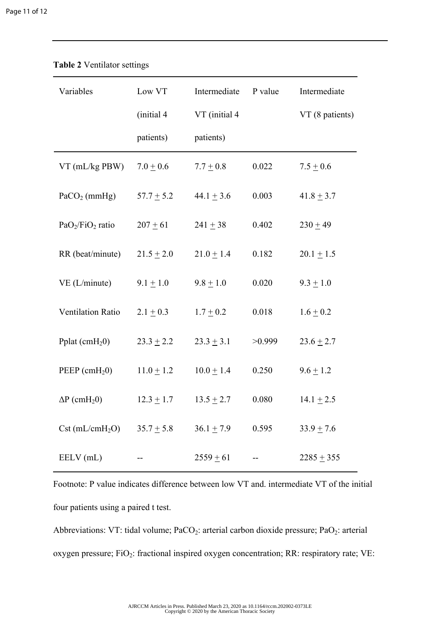| Variables                       | Low VT         | Intermediate   | P value | Intermediate    |
|---------------------------------|----------------|----------------|---------|-----------------|
|                                 | (initial 4     | VT (initial 4  |         | VT (8 patients) |
|                                 | patients)      | patients)      |         |                 |
| VT (mL/kg PBW)                  | $7.0 + 0.6$    | $7.7 + 0.8$    | 0.022   | $7.5 \pm 0.6$   |
| $PaCO2$ (mmHg)                  | $57.7 \pm 5.2$ | $44.1 \pm 3.6$ | 0.003   | $41.8 \pm 3.7$  |
| $PaO2/FiO2$ ratio               | $207 + 61$     | $241 + 38$     | 0.402   | $230 + 49$      |
| RR (beat/minute)                | $21.5 \pm 2.0$ | $21.0 \pm 1.4$ | 0.182   | $20.1 \pm 1.5$  |
| VE (L/minute)                   | $9.1 \pm 1.0$  | $9.8 \pm 1.0$  | 0.020   | $9.3 + 1.0$     |
| Ventilation Ratio               | $2.1 \pm 0.3$  | $1.7 \pm 0.2$  | 0.018   | $1.6 \pm 0.2$   |
| Pplat $\text{cmH}_2\text{O}$    | $23.3 \pm 2.2$ | $23.3 \pm 3.1$ | >0.999  | $23.6 \pm 2.7$  |
| PEEP $(cmH20)$                  | $11.0 \pm 1.2$ | $10.0 \pm 1.4$ | 0.250   | $9.6 \pm 1.2$   |
| $\Delta P$ (cmH <sub>2</sub> 0) | $12.3 \pm 1.7$ | $13.5 \pm 2.7$ | 0.080   | $14.1 \pm 2.5$  |
| $Cst$ (mL/cmH <sub>2</sub> O)   | $35.7 \pm 5.8$ | $36.1 \pm 7.9$ | 0.595   | $33.9 \pm 7.6$  |
| EELV (mL)                       |                | $2559 + 61$    |         | $2285 + 355$    |

**Table 2** Ventilator settings

Footnote: P value indicates difference between low VT and. intermediate VT of the initial four patients using a paired t test.

Abbreviations: VT: tidal volume;  $PaCO<sub>2</sub>$ : arterial carbon dioxide pressure;  $PaO<sub>2</sub>$ : arterial oxygen pressure; FiO<sub>2</sub>: fractional inspired oxygen concentration; RR: respiratory rate; VE: